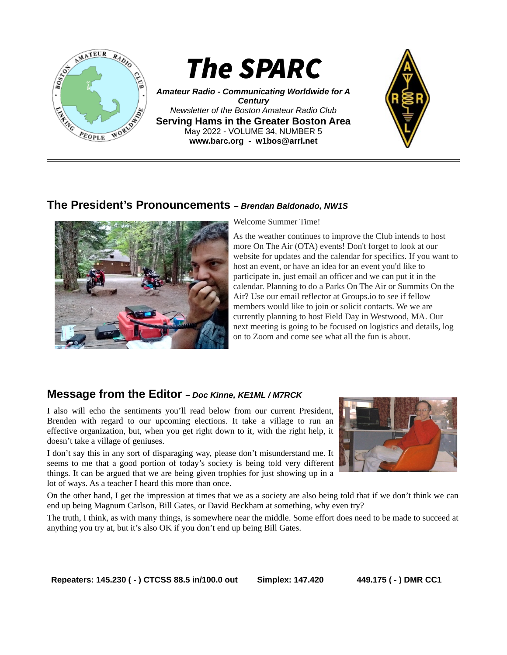

*Amateur Radio - Communicating Worldwide for A Century Newsletter of the Boston Amateur Radio Club* **Serving Hams in the Greater Boston Area** May 2022 - VOLUME 34, NUMBER 5 **www.barc.org** *-* **w1bos@arrl.net**



## **The President's Pronouncements** *– Brendan Baldonado, NW1S*



Welcome Summer Time!

As the weather continues to improve the Club intends to host more On The Air (OTA) events! Don't forget to look at our website for updates and the calendar for specifics. If you want to host an event, or have an idea for an event you'd like to participate in, just email an officer and we can put it in the calendar. Planning to do a Parks On The Air or Summits On the Air? Use our email reflector at Groups.io to see if fellow members would like to join or solicit contacts. We we are currently planning to host Field Day in Westwood, MA. Our next meeting is going to be focused on logistics and details, log on to Zoom and come see what all the fun is about.

## **Message from the Editor** *– Doc Kinne, KE1ML / M7RCK*

I also will echo the sentiments you'll read below from our current President, Brenden with regard to our upcoming elections. It take a village to run an effective organization, but, when you get right down to it, with the right help, it doesn't take a village of geniuses.

I don't say this in any sort of disparaging way, please don't misunderstand me. It seems to me that a good portion of today's society is being told very different things. It can be argued that we are being given trophies for just showing up in a lot of ways. As a teacher I heard this more than once.



On the other hand, I get the impression at times that we as a society are also being told that if we don't think we can end up being Magnum Carlson, Bill Gates, or David Beckham at something, why even try?

The truth, I think, as with many things, is somewhere near the middle. Some effort does need to be made to succeed at anything you try at, but it's also OK if you don't end up being Bill Gates.

**Repeaters: 145.230 ( - ) CTCSS 88.5 in/100.0 out Simplex: 147.420 449.175 ( - ) DMR CC1**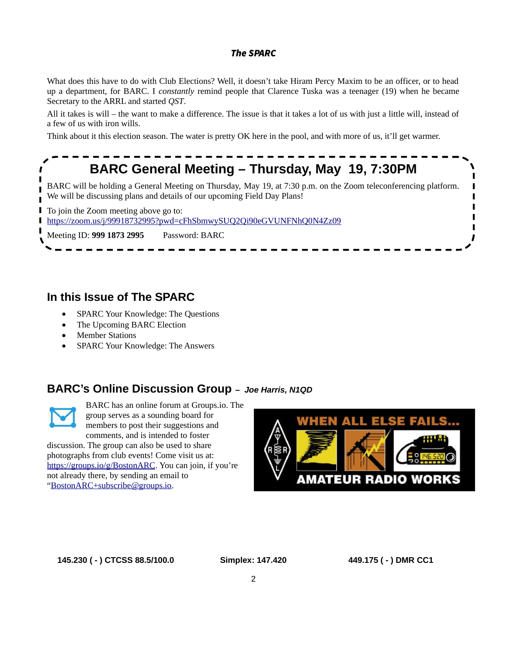What does this have to do with Club Elections? Well, it doesn't take Hiram Percy Maxim to be an officer, or to head up a department, for BARC. I *constantly* remind people that Clarence Tuska was a teenager (19) when he became Secretary to the ARRL and started *QST*.

All it takes is will – the want to make a difference. The issue is that it takes a lot of us with just a little will, instead of a few of us with iron wills.

Think about it this election season. The water is pretty OK here in the pool, and with more of us, it'll get warmer.

# **BARC General Meeting – Thursday, May 19, 7:30PM**

BARC will be holding a General Meeting on Thursday, May 19, at 7:30 p.m. on the Zoom teleconferencing platform. We will be discussing plans and details of our upcoming Field Day Plans!

П To join the Zoom meeting above go to:

[https://zoom.us/j/99918732995?pwd=cFhSbmwySUQ2Qi90eGVUNFNhQ0N4Zz09](https://www.google.com/url?q=https://zoom.us/j/99918732995?pwd%3DcFhSbmwySUQ2Qi90eGVUNFNhQ0N4Zz09&sa=D&source=calendar&usd=2&usg=AOvVaw1_aKSnHQsZMGHjXXXoTQ3t) п

Meeting ID: **999 1873 2995** Password: BARC

## **In this Issue of The SPARC**

- SPARC Your Knowledge: The Questions
- The Upcoming BARC Election
- Member Stations
- SPARC Your Knowledge: The Answers

## **BARC's Online Discussion Group** *– Joe Harris, N1QD*



I

BARC has an online forum at Groups.io. The group serves as a sounding board for members to post their suggestions and

comments, and is intended to foster discussion. The group can also be used to share photographs from club events! Come visit us at: [https://groups.io/g/BostonARC.](https://groups.io/g/BostonARC) You can join, if you're not already there, by sending an email to ["BostonARC+subscribe@groups.io](mailto:BostonARC+subscribe@groups.io).



**145.230 ( - ) CTCSS 88.5/100.0 Simplex: 147.420 449.175 ( - ) DMR CC1**

T

П

 $\blacksquare$ 

 $\mathbf{I}$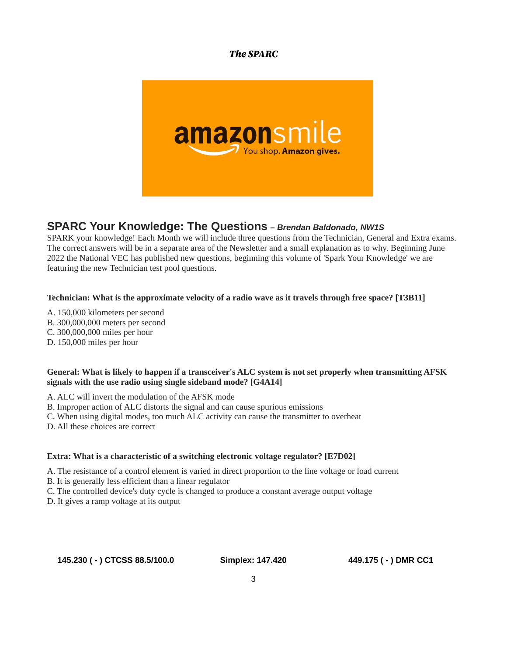

## **SPARC Your Knowledge: The Questions** *– Brendan Baldonado, NW1S*

SPARK your knowledge! Each Month we will include three questions from the Technician, General and Extra exams. The correct answers will be in a separate area of the Newsletter and a small explanation as to why. Beginning June 2022 the National VEC has published new questions, beginning this volume of 'Spark Your Knowledge' we are featuring the new Technician test pool questions.

#### **Technician: What is the approximate velocity of a radio wave as it travels through free space? [T3B11]**

- A. 150,000 kilometers per second
- B. 300,000,000 meters per second
- C. 300,000,000 miles per hour
- D. 150,000 miles per hour

#### **General: What is likely to happen if a transceiver's ALC system is not set properly when transmitting AFSK signals with the use radio using single sideband mode? [G4A14]**

A. ALC will invert the modulation of the AFSK mode

- B. Improper action of ALC distorts the signal and can cause spurious emissions
- C. When using digital modes, too much ALC activity can cause the transmitter to overheat
- D. All these choices are correct

#### **Extra: What is a characteristic of a switching electronic voltage regulator? [E7D02]**

A. The resistance of a control element is varied in direct proportion to the line voltage or load current

- B. It is generally less efficient than a linear regulator
- C. The controlled device's duty cycle is changed to produce a constant average output voltage
- D. It gives a ramp voltage at its output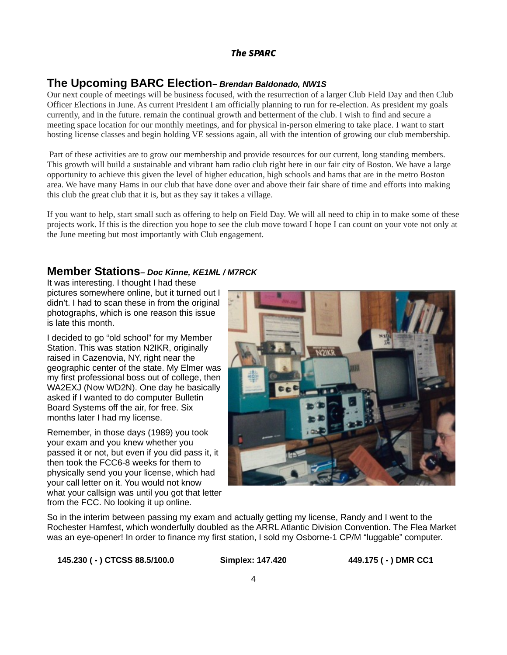#### **The Upcoming BARC Election***– Brendan Baldonado, NW1S*

Our next couple of meetings will be business focused, with the resurrection of a larger Club Field Day and then Club Officer Elections in June. As current President I am officially planning to run for re-election. As president my goals currently, and in the future. remain the continual growth and betterment of the club. I wish to find and secure a meeting space location for our monthly meetings, and for physical in-person elmering to take place. I want to start hosting license classes and begin holding VE sessions again, all with the intention of growing our club membership.

 Part of these activities are to grow our membership and provide resources for our current, long standing members. This growth will build a sustainable and vibrant ham radio club right here in our fair city of Boston. We have a large opportunity to achieve this given the level of higher education, high schools and hams that are in the metro Boston area. We have many Hams in our club that have done over and above their fair share of time and efforts into making this club the great club that it is, but as they say it takes a village.

If you want to help, start small such as offering to help on Field Day. We will all need to chip in to make some of these projects work. If this is the direction you hope to see the club move toward I hope I can count on your vote not only at the June meeting but most importantly with Club engagement.

#### **Member Stations***– Doc Kinne, KE1ML / M7RCK*

It was interesting. I thought I had these pictures somewhere online, but it turned out I didn't. I had to scan these in from the original photographs, which is one reason this issue is late this month.

I decided to go "old school" for my Member Station. This was station N2IKR, originally raised in Cazenovia, NY, right near the geographic center of the state. My Elmer was my first professional boss out of college, then WA2EXJ (Now WD2N). One day he basically asked if I wanted to do computer Bulletin Board Systems off the air, for free. Six months later I had my license.

Remember, in those days (1989) you took your exam and you knew whether you passed it or not, but even if you did pass it, it then took the FCC6-8 weeks for them to physically send you your license, which had your call letter on it. You would not know what your callsign was until you got that letter from the FCC. No looking it up online.



So in the interim between passing my exam and actually getting my license, Randy and I went to the Rochester Hamfest, which wonderfully doubled as the ARRL Atlantic Division Convention. The Flea Market was an eye-opener! In order to finance my first station, I sold my Osborne-1 CP/M "luggable" computer.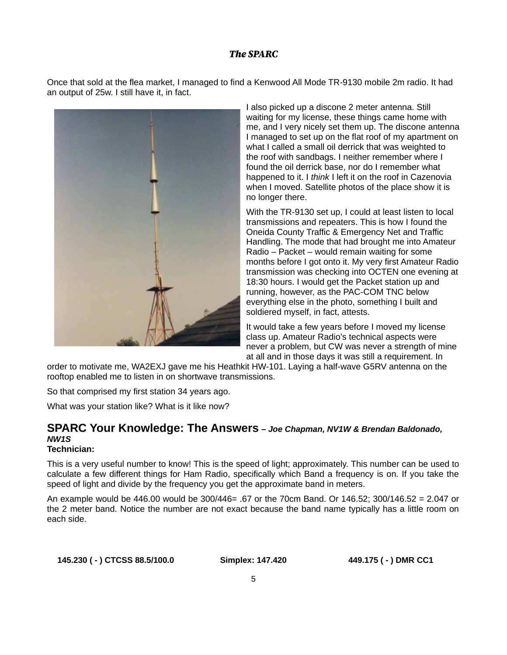Once that sold at the flea market, I managed to find a Kenwood All Mode TR-9130 mobile 2m radio. It had an output of 25w. I still have it, in fact.



I also picked up a discone 2 meter antenna. Still waiting for my license, these things came home with me, and I very nicely set them up. The discone antenna I managed to set up on the flat roof of my apartment on what I called a small oil derrick that was weighted to the roof with sandbags. I neither remember where I found the oil derrick base, nor do I remember what happened to it. I *think* I left it on the roof in Cazenovia when I moved. Satellite photos of the place show it is no longer there.

With the TR-9130 set up, I could at least listen to local transmissions and repeaters. This is how I found the Oneida County Traffic & Emergency Net and Traffic Handling. The mode that had brought me into Amateur Radio – Packet – would remain waiting for some months before I got onto it. My very first Amateur Radio transmission was checking into OCTEN one evening at 18:30 hours. I would get the Packet station up and running, however, as the PAC-COM TNC below everything else in the photo, something I built and soldiered myself, in fact, attests.

It would take a few years before I moved my license class up. Amateur Radio's technical aspects were never a problem, but CW was never a strength of mine at all and in those days it was still a requirement. In

order to motivate me, WA2EXJ gave me his Heathkit HW-101. Laying a half-wave G5RV antenna on the rooftop enabled me to listen in on shortwave transmissions.

So that comprised my first station 34 years ago.

What was your station like? What is it like now?

## **SPARC Your Knowledge: The Answers** *– Joe Chapman, NV1W & Brendan Baldonado, NW1S*

## **Technician:**

This is a very useful number to know! This is the speed of light; approximately. This number can be used to calculate a few different things for Ham Radio, specifically which Band a frequency is on. If you take the speed of light and divide by the frequency you get the approximate band in meters.

An example would be 446.00 would be 300/446= .67 or the 70cm Band. Or 146.52; 300/146.52 = 2.047 or the 2 meter band. Notice the number are not exact because the band name typically has a little room on each side.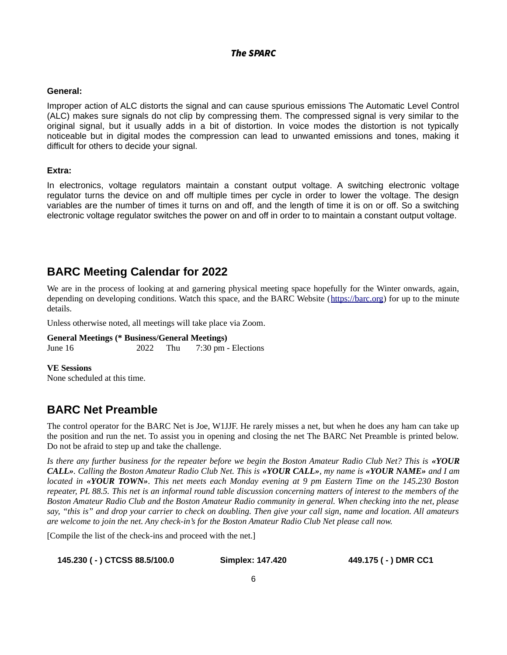#### **General:**

Improper action of ALC distorts the signal and can cause spurious emissions The Automatic Level Control (ALC) makes sure signals do not clip by compressing them. The compressed signal is very similar to the original signal, but it usually adds in a bit of distortion. In voice modes the distortion is not typically noticeable but in digital modes the compression can lead to unwanted emissions and tones, making it difficult for others to decide your signal.

#### **Extra:**

In electronics, voltage regulators maintain a constant output voltage. A switching electronic voltage regulator turns the device on and off multiple times per cycle in order to lower the voltage. The design variables are the number of times it turns on and off, and the length of time it is on or off. So a switching electronic voltage regulator switches the power on and off in order to to maintain a constant output voltage.

## **BARC Meeting Calendar for 2022**

We are in the process of looking at and garnering physical meeting space hopefully for the Winter onwards, again, depending on developing conditions. Watch this space, and the BARC Website ([https://barc.org](https://barc.org/)) for up to the minute details.

Unless otherwise noted, all meetings will take place via Zoom.

**General Meetings (\* Business/General Meetings)** June 16 2022 Thu 7:30 pm - Elections

**VE Sessions**

None scheduled at this time.

## **BARC Net Preamble**

The control operator for the BARC Net is Joe, W1JJF. He rarely misses a net, but when he does any ham can take up the position and run the net. To assist you in opening and closing the net The BARC Net Preamble is printed below. Do not be afraid to step up and take the challenge.

*Is there any further business for the repeater before we begin the Boston Amateur Radio Club Net? This is «YOUR CALL». Calling the Boston Amateur Radio Club Net. This is «YOUR CALL», my name is «YOUR NAME» and I am located in «YOUR TOWN». This net meets each Monday evening at 9 pm Eastern Time on the 145.230 Boston repeater, PL 88.5. This net is an informal round table discussion concerning matters of interest to the members of the Boston Amateur Radio Club and the Boston Amateur Radio community in general. When checking into the net, please say, "this is" and drop your carrier to check on doubling. Then give your call sign, name and location. All amateurs are welcome to join the net. Any check-in's for the Boston Amateur Radio Club Net please call now.* 

[Compile the list of the check-ins and proceed with the net.]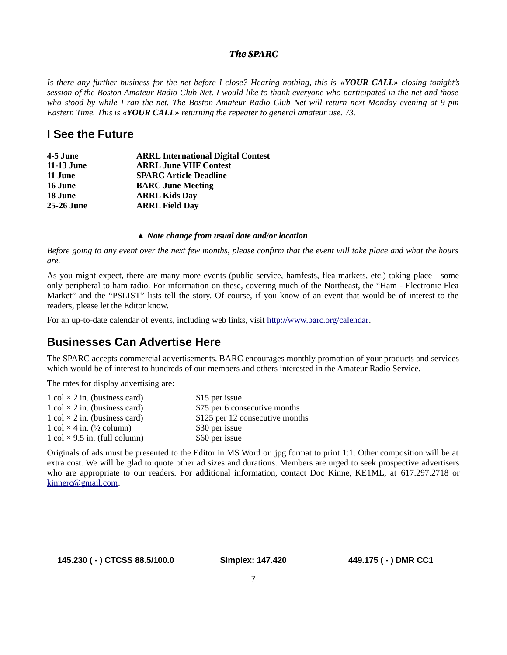*Is there any further business for the net before I close? Hearing nothing, this is «YOUR CALL» closing tonight's session of the Boston Amateur Radio Club Net. I would like to thank everyone who participated in the net and those who stood by while I ran the net. The Boston Amateur Radio Club Net will return next Monday evening at 9 pm Eastern Time. This is «YOUR CALL» returning the repeater to general amateur use. 73.*

## **I See the Future**

| <b>ARRL International Digital Contest</b> |
|-------------------------------------------|
| <b>ARRL June VHF Contest</b>              |
| <b>SPARC Article Deadline</b>             |
| <b>BARC June Meeting</b>                  |
| <b>ARRL Kids Day</b>                      |
| <b>ARRL Field Day</b>                     |
|                                           |

#### *▲ Note change from usual date and/or location*

*Before going to any event over the next few months, please confirm that the event will take place and what the hours are.*

As you might expect, there are many more events (public service, hamfests, flea markets, etc.) taking place—some only peripheral to ham radio. For information on these, covering much of the Northeast, the "Ham - Electronic Flea Market" and the "PSLIST" lists tell the story. Of course, if you know of an event that would be of interest to the readers, please let the Editor know.

For an up-to-date calendar of events, including web links, visit <http://www.barc.org/calendar>.

## **Businesses Can Advertise Here**

The SPARC accepts commercial advertisements. BARC encourages monthly promotion of your products and services which would be of interest to hundreds of our members and others interested in the Amateur Radio Service.

The rates for display advertising are:

| 1 col $\times$ 2 in. (business card) | \$15 per issue                  |
|--------------------------------------|---------------------------------|
| 1 col $\times$ 2 in. (business card) | \$75 per 6 consecutive months   |
| 1 col $\times$ 2 in. (business card) | \$125 per 12 consecutive months |
| 1 col $\times$ 4 in. (1/2 column)    | \$30 per issue                  |
| 1 col $\times$ 9.5 in. (full column) | \$60 per issue                  |

Originals of ads must be presented to the Editor in MS Word or .jpg format to print 1:1. Other composition will be at extra cost. We will be glad to quote other ad sizes and durations. Members are urged to seek prospective advertisers who are appropriate to our readers. For additional information, contact Doc Kinne, KE1ML, at 617.297.2718 or [kinnerc@gmail.com.](mailto:kinnerc@gmail.com)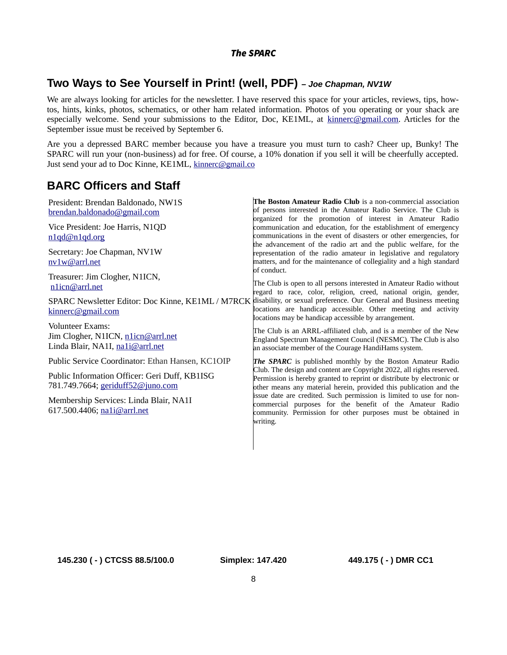## **Two Ways to See Yourself in Print! (well, PDF)** *– Joe Chapman, NV1W*

We are always looking for articles for the newsletter. I have reserved this space for your articles, reviews, tips, howtos, hints, kinks, photos, schematics, or other ham related information. Photos of you operating or your shack are especially welcome. Send your submissions to the Editor, Doc, KE1ML, at [kinnerc@gmail.com](mailto:kinnerc@gmail.com). Articles for the September issue must be received by September 6.

Are you a depressed BARC member because you have a treasure you must turn to cash? Cheer up, Bunky! The SPARC will run your (non-business) ad for free. Of course, a 10% donation if you sell it will be cheerfully accepted. Just send your ad to Doc Kinne, KE1ML, [kinnerc@gmail.co](mailto:kinnerc@gmail.com)

## **BARC Officers and Staff**

| President: Brendan Baldonado, NW1S<br>brendan.baldonado@gmail.com                          | The Boston Amateur Radio Club is a non-commercial association<br>of persons interested in the Amateur Radio Service. The Club is<br>organized for the promotion of interest in Amateur Radio                                                                                                                                                                                                                                                                                                       |
|--------------------------------------------------------------------------------------------|----------------------------------------------------------------------------------------------------------------------------------------------------------------------------------------------------------------------------------------------------------------------------------------------------------------------------------------------------------------------------------------------------------------------------------------------------------------------------------------------------|
| Vice President: Joe Harris, N1QD<br>n1qd@n1qd.org                                          | communication and education, for the establishment of emergency<br>communications in the event of disasters or other emergencies, for<br>the advancement of the radio art and the public welfare, for the<br>representation of the radio amateur in legislative and regulatory<br>matters, and for the maintenance of collegiality and a high standard                                                                                                                                             |
| Secretary: Joe Chapman, NV1W<br>nv1w@arrl.net                                              |                                                                                                                                                                                                                                                                                                                                                                                                                                                                                                    |
| Treasurer: Jim Clogher, N1ICN,<br>n1icn@arrl.net                                           | lof conduct.<br>The Club is open to all persons interested in Amateur Radio without<br>regard to race, color, religion, creed, national origin, gender,                                                                                                                                                                                                                                                                                                                                            |
| kinnerc@gmail.com                                                                          | SPARC Newsletter Editor: Doc Kinne, KE1ML / M7RCK disability, or sexual preference. Our General and Business meeting<br>locations are handicap accessible. Other meeting and activity<br>locations may be handicap accessible by arrangement.                                                                                                                                                                                                                                                      |
| Volunteer Exams:<br>Jim Clogher, N1ICN, n1icn@arrl.net<br>Linda Blair, NA1I, na1i@arrl.net | The Club is an ARRL-affiliated club, and is a member of the New<br>England Spectrum Management Council (NESMC). The Club is also<br>an associate member of the Courage HandiHams system.                                                                                                                                                                                                                                                                                                           |
| Public Service Coordinator: Ethan Hansen, KC1OIP                                           | The SPARC is published monthly by the Boston Amateur Radio<br>Club. The design and content are Copyright 2022, all rights reserved.<br>Permission is hereby granted to reprint or distribute by electronic or<br>other means any material herein, provided this publication and the<br>issue date are credited. Such permission is limited to use for non-<br>commercial purposes for the benefit of the Amateur Radio<br>community. Permission for other purposes must be obtained in<br>writing. |
| Public Information Officer: Geri Duff, KB1ISG<br>781.749.7664; geriduff52@juno.com         |                                                                                                                                                                                                                                                                                                                                                                                                                                                                                                    |
| Membership Services: Linda Blair, NA1I<br>617.500.4406; na1i@arrl.net                      |                                                                                                                                                                                                                                                                                                                                                                                                                                                                                                    |